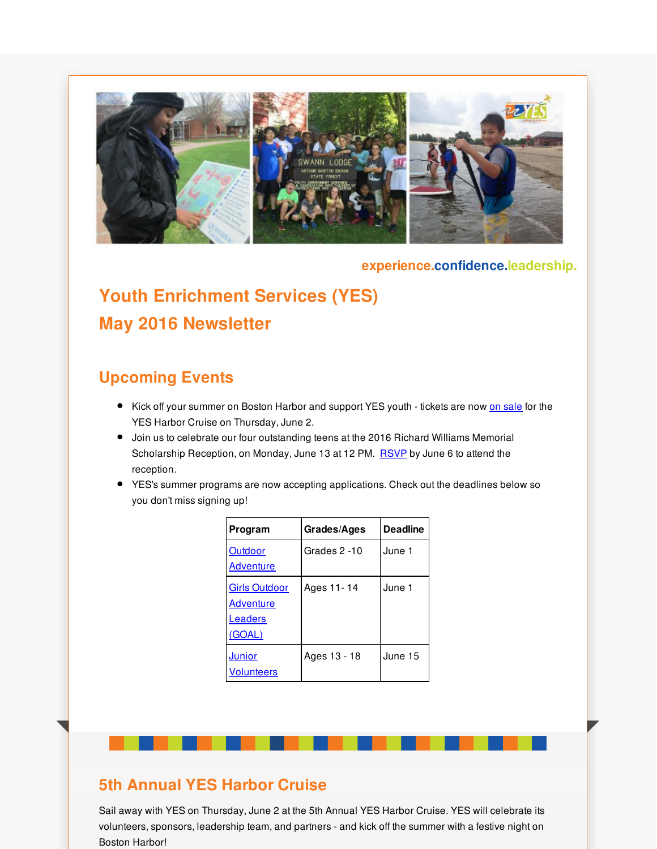

#### **experience.confidence.leadership.**

# **Youth Enrichment Services (YES) May 2016 Newsletter**

#### **Upcoming Events**

- Kick off your summer on Boston Harbor and support YES youth tickets are now on [sale](http://r20.rs6.net/tn.jsp?f=001BZq1nphVsO2Fgr2PnSZRYXtfg2Xj_GHcpAdKADEbK4CC_qkP22ns6kuAdPQ7onL3cNlredWBrMWSycqIEVnBsMwFSdImPDnGBfAKfm4H5tS7DuE-HX2BNbvHngTDusKgFE-pCvFwiI5InMFoFPLRmPwZGpy6cJBYsKdO_Qa8Yhh2YHl7m8RopJVQ1IQSgVCu&c=&ch=) for the YES Harbor Cruise on Thursday, June 2.
- Join us to celebrate our four outstanding teens at the 2016 Richard Williams Memorial Scholarship Reception, on Monday, June 13 at 12 PM. [RSVP](mailto:sdecarvalho@yeskids.org) by June 6 to attend the reception.
- YES's summer programs are now accepting applications. Check out the deadlines below so you don't miss signing up!

| Program                                                       | Grades/Ages  | <b>Deadline</b> |
|---------------------------------------------------------------|--------------|-----------------|
| Outdoor<br><b>Adventure</b>                                   | Grades 2 -10 | June 1          |
| <b>Girls Outdoor</b><br>Adventure<br>Leaders<br><u>(GOAL)</u> | Ages 11-14   | June 1          |
| <b>Junior</b><br><b>Volunteers</b>                            | Ages 13 - 18 | June 15         |

#### **5th Annual YES Harbor Cruise**

Sail away with YES on Thursday, June 2 at the 5th Annual YES Harbor Cruise. YES will celebrate its volunteers, sponsors, leadership team, and partners - and kick off the summer with a festive night on Boston Harbor!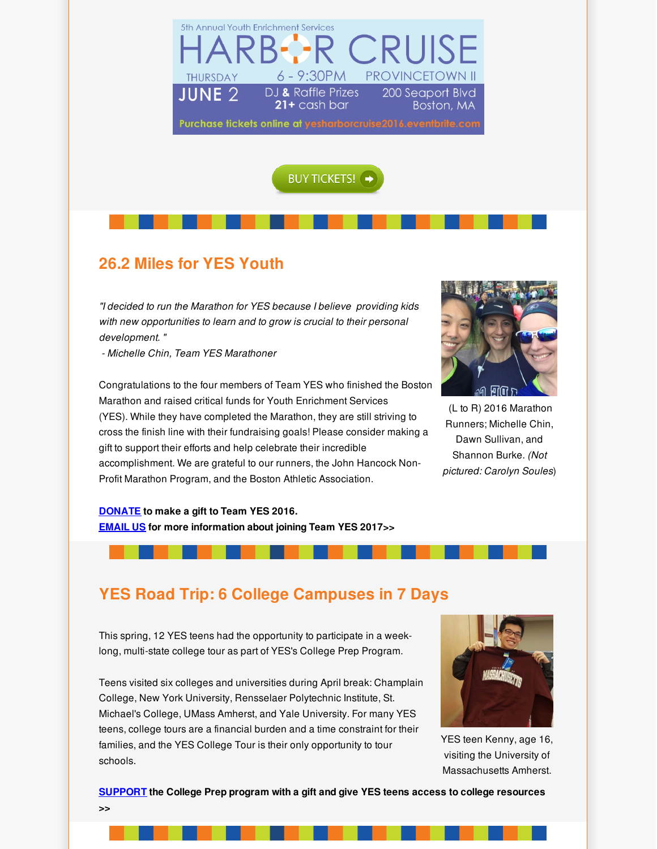



## **26.2 Miles for YES Youth**

*"I decided to run the Marathon for YES because I believe providing kids with new opportunities to learn and to grow is crucial to their personal development. "*

*- Michelle Chin, Team YES Marathoner*

Congratulations to the four members of Team YES who finished the Boston Marathon and raised critical funds for Youth Enrichment Services (YES). While they have completed the Marathon, they are still striving to cross the finish line with their fundraising goals! Please consider making a gift to support their efforts and help celebrate their incredible accomplishment. We are grateful to our runners, the John Hancock Non-Profit Marathon Program, and the Boston Athletic Association.



(L to R) 2016 Marathon Runners; Michelle Chin, Dawn Sullivan, and Shannon Burke. *(Not pictured: Carolyn Soules*)

**[DONATE](http://r20.rs6.net/tn.jsp?f=001BZq1nphVsO2Fgr2PnSZRYXtfg2Xj_GHcpAdKADEbK4CC_qkP22ns6kuAdPQ7onL3IHJr7u89KlA9RLW2OdWHv3LVxV-8A9S5mklBUCauWEqycYBkix2MPWsMbLwuaA-v2bDRWDpC4RNbcp4ewEjPUaCDZxQlkFUSFZi53oytAxJeQifPt93X9cWQwz-URNTzVpGWAu5P3BJameu5mS51OB7KTiXmoMpQ_Jcwi0EALlQ=&c=&ch=) to make a gift to Team YES 2016. [EMAIL](mailto:cbrydges@yeskids.org) US for more information about joining Team YES 2017>>**

### **YES Road Trip: 6 College Campuses in 7 Days**

This spring, 12 YES teens had the opportunity to participate in a weeklong, multi-state college tour as part of YES's College Prep Program.

Teens visited six colleges and universities during April break: Champlain College, New York University, Rensselaer Polytechnic Institute, St. Michael's College, UMass Amherst, and Yale University. For many YES teens, college tours are a financial burden and a time constraint for their families, and the YES College Tour is their only opportunity to tour schools.



YES teen Kenny, age 16, visiting the University of Massachusetts Amherst.

**[SUPPORT](http://r20.rs6.net/tn.jsp?f=001BZq1nphVsO2Fgr2PnSZRYXtfg2Xj_GHcpAdKADEbK4CC_qkP22ns6ltIRlXrDhgUd3obTmGnQPK02WlYCMl_Yp5g0SfwqF_CpgWZw6ztzkqdMyHQp8UCQtd6OEY0wgJo-ZfqsbiCH7QVGyTm_PNmAf3KAx12jBbDlcvaxPrpZAvaeN5s5DjRBw==&c=&ch=) the College Prep program with a gift and give YES teens access to college resources >>**